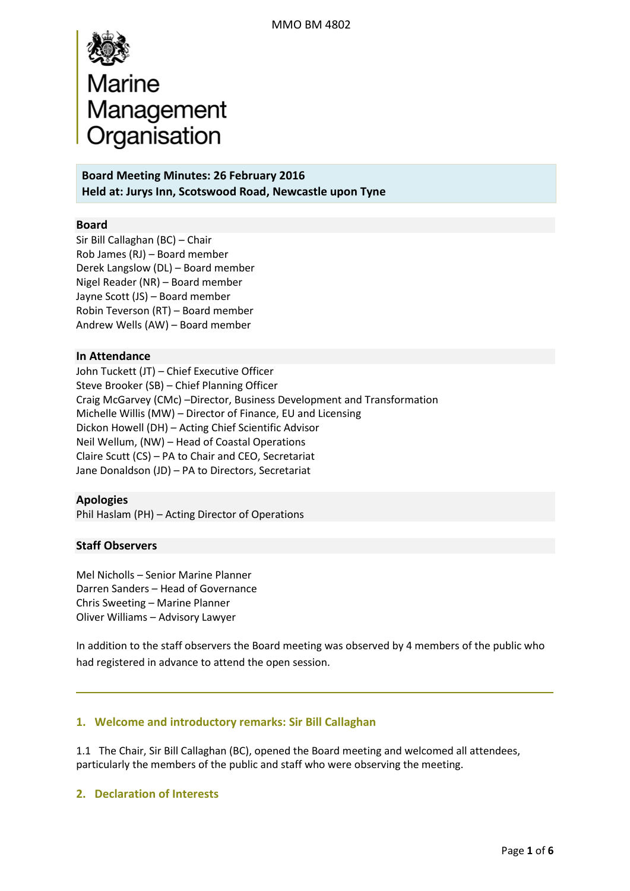

**Board Meeting Minutes: 26 February 2016 Held at: Jurys Inn, Scotswood Road, Newcastle upon Tyne**

#### **Board**

Sir Bill Callaghan (BC) – Chair Rob James (RJ) – Board member Derek Langslow (DL) – Board member Nigel Reader (NR) – Board member Jayne Scott (JS) – Board member Robin Teverson (RT) – Board member Andrew Wells (AW) – Board member

#### **In Attendance**

John Tuckett (JT) – Chief Executive Officer Steve Brooker (SB) – Chief Planning Officer Craig McGarvey (CMc) –Director, Business Development and Transformation Michelle Willis (MW) – Director of Finance, EU and Licensing Dickon Howell (DH) – Acting Chief Scientific Advisor Neil Wellum, (NW) – Head of Coastal Operations Claire Scutt (CS) – PA to Chair and CEO, Secretariat Jane Donaldson (JD) – PA to Directors, Secretariat

#### **Apologies**

Phil Haslam (PH) – Acting Director of Operations

#### **Staff Observers**

Mel Nicholls – Senior Marine Planner Darren Sanders – Head of Governance Chris Sweeting – Marine Planner Oliver Williams – Advisory Lawyer

In addition to the staff observers the Board meeting was observed by 4 members of the public who had registered in advance to attend the open session.

#### **1. Welcome and introductory remarks: Sir Bill Callaghan**

1.1 The Chair, Sir Bill Callaghan (BC), opened the Board meeting and welcomed all attendees, particularly the members of the public and staff who were observing the meeting.

#### **2. Declaration of Interests**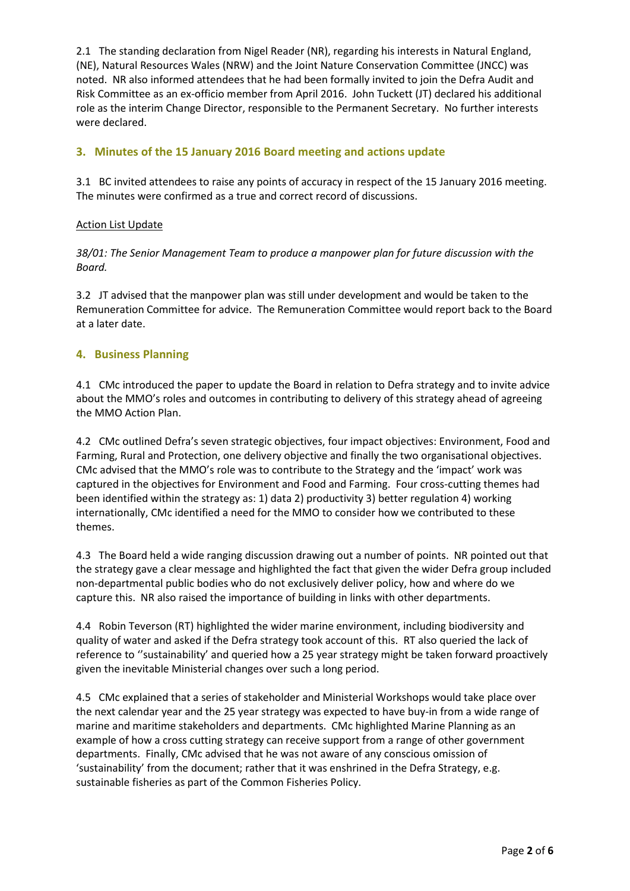2.1 The standing declaration from Nigel Reader (NR), regarding his interests in Natural England, (NE), Natural Resources Wales (NRW) and the Joint Nature Conservation Committee (JNCC) was noted. NR also informed attendees that he had been formally invited to join the Defra Audit and Risk Committee as an ex-officio member from April 2016. John Tuckett (JT) declared his additional role as the interim Change Director, responsible to the Permanent Secretary. No further interests were declared.

# **3. Minutes of the 15 January 2016 Board meeting and actions update**

3.1 BC invited attendees to raise any points of accuracy in respect of the 15 January 2016 meeting. The minutes were confirmed as a true and correct record of discussions.

#### Action List Update

*38/01: The Senior Management Team to produce a manpower plan for future discussion with the Board.* 

3.2 JT advised that the manpower plan was still under development and would be taken to the Remuneration Committee for advice. The Remuneration Committee would report back to the Board at a later date.

#### **4. Business Planning**

4.1 CMc introduced the paper to update the Board in relation to Defra strategy and to invite advice about the MMO's roles and outcomes in contributing to delivery of this strategy ahead of agreeing the MMO Action Plan.

4.2 CMc outlined Defra's seven strategic objectives, four impact objectives: Environment, Food and Farming, Rural and Protection, one delivery objective and finally the two organisational objectives. CMc advised that the MMO's role was to contribute to the Strategy and the 'impact' work was captured in the objectives for Environment and Food and Farming. Four cross-cutting themes had been identified within the strategy as: 1) data 2) productivity 3) better regulation 4) working internationally, CMc identified a need for the MMO to consider how we contributed to these themes.

4.3 The Board held a wide ranging discussion drawing out a number of points. NR pointed out that the strategy gave a clear message and highlighted the fact that given the wider Defra group included non-departmental public bodies who do not exclusively deliver policy, how and where do we capture this. NR also raised the importance of building in links with other departments.

4.4 Robin Teverson (RT) highlighted the wider marine environment, including biodiversity and quality of water and asked if the Defra strategy took account of this. RT also queried the lack of reference to ''sustainability' and queried how a 25 year strategy might be taken forward proactively given the inevitable Ministerial changes over such a long period.

4.5 CMc explained that a series of stakeholder and Ministerial Workshops would take place over the next calendar year and the 25 year strategy was expected to have buy-in from a wide range of marine and maritime stakeholders and departments. CMc highlighted Marine Planning as an example of how a cross cutting strategy can receive support from a range of other government departments. Finally, CMc advised that he was not aware of any conscious omission of 'sustainability' from the document; rather that it was enshrined in the Defra Strategy, e.g. sustainable fisheries as part of the Common Fisheries Policy.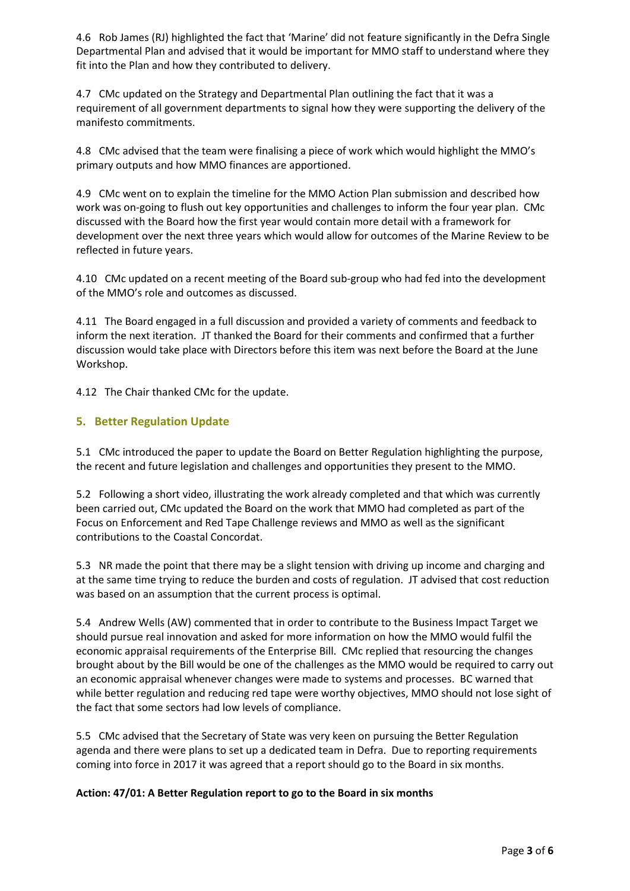4.6 Rob James (RJ) highlighted the fact that 'Marine' did not feature significantly in the Defra Single Departmental Plan and advised that it would be important for MMO staff to understand where they fit into the Plan and how they contributed to delivery.

4.7 CMc updated on the Strategy and Departmental Plan outlining the fact that it was a requirement of all government departments to signal how they were supporting the delivery of the manifesto commitments.

4.8 CMc advised that the team were finalising a piece of work which would highlight the MMO's primary outputs and how MMO finances are apportioned.

4.9 CMc went on to explain the timeline for the MMO Action Plan submission and described how work was on-going to flush out key opportunities and challenges to inform the four year plan. CMc discussed with the Board how the first year would contain more detail with a framework for development over the next three years which would allow for outcomes of the Marine Review to be reflected in future years.

4.10 CMc updated on a recent meeting of the Board sub-group who had fed into the development of the MMO's role and outcomes as discussed.

4.11 The Board engaged in a full discussion and provided a variety of comments and feedback to inform the next iteration. JT thanked the Board for their comments and confirmed that a further discussion would take place with Directors before this item was next before the Board at the June Workshop.

4.12 The Chair thanked CMc for the update.

#### **5. Better Regulation Update**

5.1 CMc introduced the paper to update the Board on Better Regulation highlighting the purpose, the recent and future legislation and challenges and opportunities they present to the MMO.

5.2 Following a short video, illustrating the work already completed and that which was currently been carried out, CMc updated the Board on the work that MMO had completed as part of the Focus on Enforcement and Red Tape Challenge reviews and MMO as well as the significant contributions to the Coastal Concordat.

5.3 NR made the point that there may be a slight tension with driving up income and charging and at the same time trying to reduce the burden and costs of regulation. JT advised that cost reduction was based on an assumption that the current process is optimal.

5.4 Andrew Wells (AW) commented that in order to contribute to the Business Impact Target we should pursue real innovation and asked for more information on how the MMO would fulfil the economic appraisal requirements of the Enterprise Bill. CMc replied that resourcing the changes brought about by the Bill would be one of the challenges as the MMO would be required to carry out an economic appraisal whenever changes were made to systems and processes. BC warned that while better regulation and reducing red tape were worthy objectives, MMO should not lose sight of the fact that some sectors had low levels of compliance.

5.5 CMc advised that the Secretary of State was very keen on pursuing the Better Regulation agenda and there were plans to set up a dedicated team in Defra. Due to reporting requirements coming into force in 2017 it was agreed that a report should go to the Board in six months.

#### **Action: 47/01: A Better Regulation report to go to the Board in six months**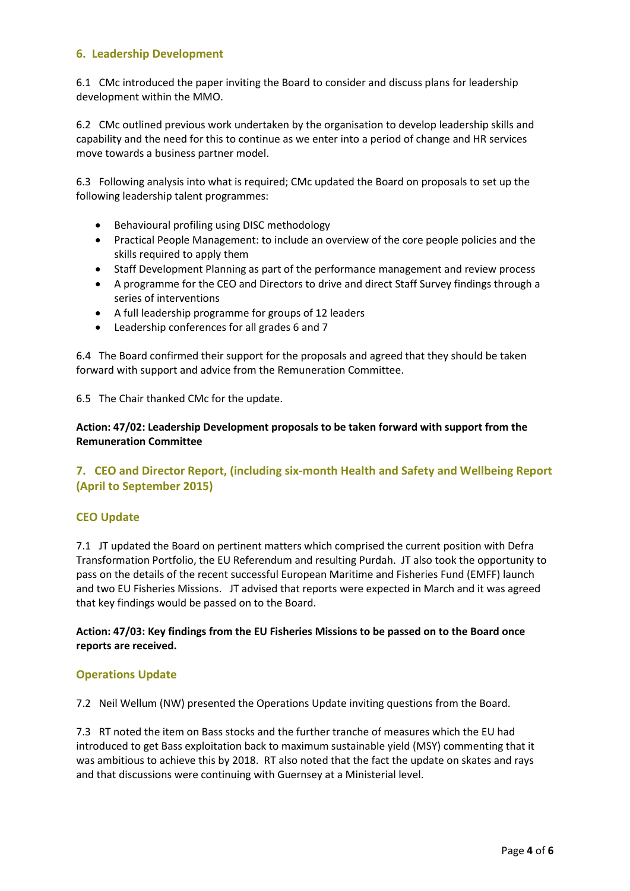# **6. Leadership Development**

6.1 CMc introduced the paper inviting the Board to consider and discuss plans for leadership development within the MMO.

6.2 CMc outlined previous work undertaken by the organisation to develop leadership skills and capability and the need for this to continue as we enter into a period of change and HR services move towards a business partner model.

6.3 Following analysis into what is required; CMc updated the Board on proposals to set up the following leadership talent programmes:

- Behavioural profiling using DISC methodology
- Practical People Management: to include an overview of the core people policies and the skills required to apply them
- Staff Development Planning as part of the performance management and review process
- A programme for the CEO and Directors to drive and direct Staff Survey findings through a series of interventions
- A full leadership programme for groups of 12 leaders
- Leadership conferences for all grades 6 and 7

6.4 The Board confirmed their support for the proposals and agreed that they should be taken forward with support and advice from the Remuneration Committee.

6.5 The Chair thanked CMc for the update.

**Action: 47/02: Leadership Development proposals to be taken forward with support from the Remuneration Committee**

# **7. CEO and Director Report, (including six-month Health and Safety and Wellbeing Report (April to September 2015)**

# **CEO Update**

7.1 JT updated the Board on pertinent matters which comprised the current position with Defra Transformation Portfolio, the EU Referendum and resulting Purdah. JT also took the opportunity to pass on the details of the recent successful European Maritime and Fisheries Fund (EMFF) launch and two EU Fisheries Missions. JT advised that reports were expected in March and it was agreed that key findings would be passed on to the Board.

**Action: 47/03: Key findings from the EU Fisheries Missions to be passed on to the Board once reports are received.**

# **Operations Update**

7.2 Neil Wellum (NW) presented the Operations Update inviting questions from the Board.

7.3 RT noted the item on Bass stocks and the further tranche of measures which the EU had introduced to get Bass exploitation back to maximum sustainable yield (MSY) commenting that it was ambitious to achieve this by 2018. RT also noted that the fact the update on skates and rays and that discussions were continuing with Guernsey at a Ministerial level.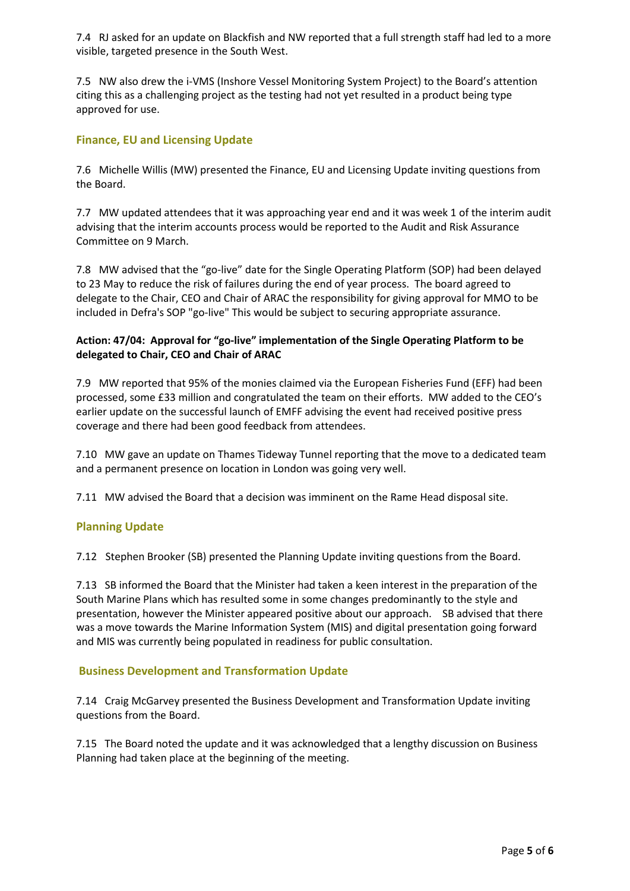7.4 RJ asked for an update on Blackfish and NW reported that a full strength staff had led to a more visible, targeted presence in the South West.

7.5 NW also drew the i-VMS (Inshore Vessel Monitoring System Project) to the Board's attention citing this as a challenging project as the testing had not yet resulted in a product being type approved for use.

# **Finance, EU and Licensing Update**

7.6 Michelle Willis (MW) presented the Finance, EU and Licensing Update inviting questions from the Board.

7.7 MW updated attendees that it was approaching year end and it was week 1 of the interim audit advising that the interim accounts process would be reported to the Audit and Risk Assurance Committee on 9 March.

7.8 MW advised that the "go-live" date for the Single Operating Platform (SOP) had been delayed to 23 May to reduce the risk of failures during the end of year process. The board agreed to delegate to the Chair, CEO and Chair of ARAC the responsibility for giving approval for MMO to be included in Defra's SOP "go-live" This would be subject to securing appropriate assurance.

#### **Action: 47/04: Approval for "go-live" implementation of the Single Operating Platform to be delegated to Chair, CEO and Chair of ARAC**

7.9 MW reported that 95% of the monies claimed via the European Fisheries Fund (EFF) had been processed, some £33 million and congratulated the team on their efforts. MW added to the CEO's earlier update on the successful launch of EMFF advising the event had received positive press coverage and there had been good feedback from attendees.

7.10 MW gave an update on Thames Tideway Tunnel reporting that the move to a dedicated team and a permanent presence on location in London was going very well.

7.11 MW advised the Board that a decision was imminent on the Rame Head disposal site.

# **Planning Update**

7.12Stephen Brooker (SB) presented the Planning Update inviting questions from the Board.

7.13 SB informed the Board that the Minister had taken a keen interest in the preparation of the South Marine Plans which has resulted some in some changes predominantly to the style and presentation, however the Minister appeared positive about our approach. SB advised that there was a move towards the Marine Information System (MIS) and digital presentation going forward and MIS was currently being populated in readiness for public consultation.

#### **Business Development and Transformation Update**

7.14 Craig McGarvey presented the Business Development and Transformation Update inviting questions from the Board.

7.15 The Board noted the update and it was acknowledged that a lengthy discussion on Business Planning had taken place at the beginning of the meeting.